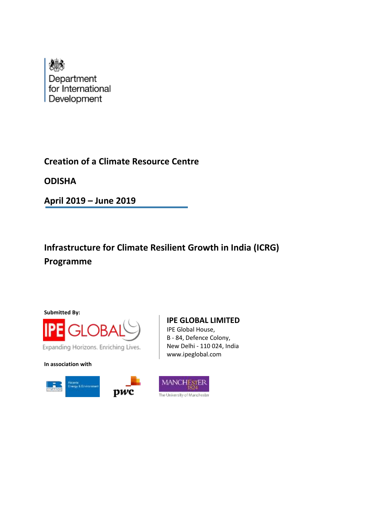

# **Creation of a Climate Resource Centre**

**ODISHA**

**April 2019 – June 2019**

# **Infrastructure for Climate Resilient Growth in India (ICRG) Programme**

**Submitted By:**



Expanding Horizons. Enriching Lives.

**In association with**





**IPE GLOBAL LIMITED**

IPE Global House, B - 84, Defence Colony, New Delhi - 110 024, India www.ipeglobal.com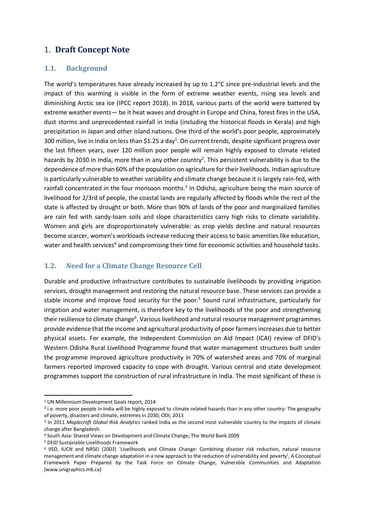## 1. **Draft Concept Note**

#### **1.1. Background**

The world's temperatures have already increased by up to 1.2°C since pre-industrial levels and the impact of this warming is visible in the form of extreme weather events, rising sea levels and diminishing Arctic sea ice (IPCC report 2018). In 2018, various parts of the world were battered by extreme weather events— be it heat waves and drought in Europe and China, forest fires in the USA, dust storms and unprecedented rainfall in India (including the historical floods in Kerala) and high precipitation in Japan and other island nations. One third of the world's poor people, approximately 300 million, live in India on less than \$1.25 a day<sup>1</sup>. On current trends, despite significant progress over the last fifteen years, over 120 million poor people will remain highly exposed to climate related hazards by 2030 in India, more than in any other country<sup>2</sup>. This persistent vulnerability is due to the dependence of more than 60% of the population on agriculture for their livelihoods. Indian agriculture is particularly vulnerable to weather variability and climate change because it is largely rain-fed, with rainfall concentrated in the four monsoon months.<sup>3</sup> In Odisha, agriculture being the main source of livelihood for 2/3rd of people, the coastal lands are regularly affected by floods while the rest of the state is affected by drought or both. More than 90% of lands of the poor and marginalized families are rain fed with sandy-loam soils and slope characteristics carry high risks to climate variability. Women and girls are disproportionately vulnerable: as crop yields decline and natural resources become scarcer, women's workloads increase reducing their access to basic amenities like education, water and health services<sup>4</sup> and compromising their time for economic activities and household tasks.

## **1.2. Need for a Climate Change Resource Cell**

Durable and productive infrastructure contributes to sustainable livelihoods by providing irrigation services, drought management and restoring the natural resource base. These services can provide a stable income and improve food security for the poor.<sup>5</sup> Sound rural infrastructure, particularly for irrigation and water management, is therefore key to the livelihoods of the poor and strengthening their resilience to climate change<sup>6</sup>. Various livelihood and natural resource management programmes provide evidence that the income and agricultural productivity of poor farmers increases due to better physical assets. For example, the Independent Commission on Aid Impact (ICAI) review of DFID's Western Odisha Rural Livelihood Programme found that water management structures built under the programme improved agriculture productivity in 70% of watershed areas and 70% of marginal farmers reported improved capacity to cope with drought. Various central and state development programmes support the construction of rural infrastructure in India. The most significant of these is

<sup>5</sup> DFID Sustainable Livelihoods Framework

1

<sup>1</sup> UN Millennium Development Goals report, 2014

<sup>&</sup>lt;sup>2</sup> i.e. more poor people in India will be highly exposed to climate related hazards than in any other country: The geography of poverty, disasters and climate, extremes in 2030; ODI; 2013

<sup>3</sup> In 2011 *Maplecroft Global Risk Analytics* ranked India as the second most vulnerable country to the impacts of climate change after Bangladesh.

<sup>4</sup> South Asia: Shared Views on Development and Climate Change; The World Bank 2009

<sup>6</sup> IISD, IUCN and NRSEI (2003) `Livelihoods and Climate Change: Combining disaster risk reduction, natural resource management and climate change adaptation in a new approach to the reduction of vulnerability and poverty', A Conceptual Framework Paper Prepared by the Task Force on Climate Change, Vulnerable Communities and Adaptation (www.unigraphics.mb.ca)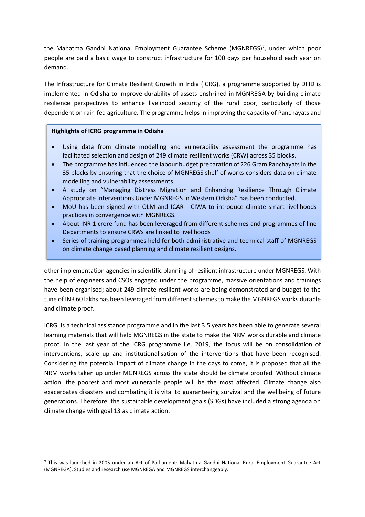the Mahatma Gandhi National Employment Guarantee Scheme (MGNREGS)<sup>7</sup>, under which poor people are paid a basic wage to construct infrastructure for 100 days per household each year on demand.

The Infrastructure for Climate Resilient Growth in India (ICRG), a programme supported by DFID is implemented in Odisha to improve durability of assets enshrined in MGNREGA by building climate resilience perspectives to enhance livelihood security of the rural poor, particularly of those dependent on rain-fed agriculture. The programme helps in improving the capacity of Panchayats and

#### **Highlights of ICRG programme in Odisha**

**.** 

- Using data from climate modelling and vulnerability assessment the programme has facilitated selection and design of 249 climate resilient works (CRW) across 35 blocks.
- The programme has influenced the labour budget preparation of 226 Gram Panchayats in the 35 blocks by ensuring that the choice of MGNREGS shelf of works considers data on climate modelling and vulnerability assessments.
- A study on "Managing Distress Migration and Enhancing Resilience Through Climate Appropriate Interventions Under MGNREGS in Western Odisha" has been conducted.
- MoU has been signed with OLM and ICAR CIWA to introduce climate smart livelihoods practices in convergence with MGNREGS.
- About INR 1 crore fund has been leveraged from different schemes and programmes of line Departments to ensure CRWs are linked to livelihoods
- Series of training programmes held for both administrative and technical staff of MGNREGS on climate change based planning and climate resilient designs.

other implementation agencies in scientific planning of resilient infrastructure under MGNREGS. With the help of engineers and CSOs engaged under the programme, massive orientations and trainings have been organised; about 249 climate resilient works are being demonstrated and budget to the tune of INR 60 lakhs has been leveraged from different schemes to make the MGNREGS works durable and climate proof.

ICRG, is a technical assistance programme and in the last 3.5 years has been able to generate several learning materials that will help MGNREGS in the state to make the NRM works durable and climate proof. In the last year of the ICRG programme i.e. 2019, the focus will be on consolidation of interventions, scale up and institutionalisation of the interventions that have been recognised. Considering the potential impact of climate change in the days to come, it is proposed that all the NRM works taken up under MGNREGS across the state should be climate proofed. Without climate action, the poorest and most vulnerable people will be the most affected. Climate change also exacerbates disasters and combating it is vital to guaranteeing survival and the wellbeing of future generations. Therefore, the sustainable development goals (SDGs) have included a strong agenda on climate change with goal 13 as climate action.

<sup>7</sup> This was launched in 2005 under an Act of Parliament: Mahatma Gandhi National Rural Employment Guarantee Act (MGNREGA). Studies and research use MGNREGA and MGNREGS interchangeably.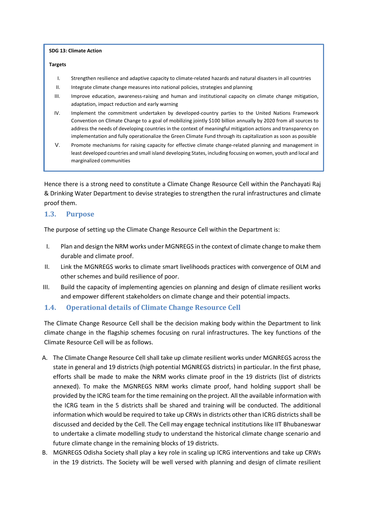**SDG 13: Climate Action**

#### **Targets**

- I. Strengthen resilience and adaptive capacity to climate-related hazards and natural disasters in all countries
- II. Integrate climate change measures into national policies, strategies and planning
- III. Improve education, awareness-raising and human and institutional capacity on climate change mitigation, adaptation, impact reduction and early warning
- IV. Implement the commitment undertaken by developed-country parties to the United Nations Framework Convention on Climate Change to a goal of mobilizing jointly \$100 billion annually by 2020 from all sources to address the needs of developing countries in the context of meaningful mitigation actions and transparency on implementation and fully operationalize the Green Climate Fund through its capitalization as soon as possible
- V. Promote mechanisms for raising capacity for effective climate change-related planning and management in least developed countries and small island developing States, including focusing on women, youth and local and marginalized communities

Hence there is a strong need to constitute a Climate Change Resource Cell within the Panchayati Raj & Drinking Water Department to devise strategies to strengthen the rural infrastructures and climate proof them.

#### **1.3. Purpose**

The purpose of setting up the Climate Change Resource Cell within the Department is:

- I. Plan and design the NRM works under MGNREGS in the context of climate change to make them durable and climate proof.
- II. Link the MGNREGS works to climate smart livelihoods practices with convergence of OLM and other schemes and build resilience of poor.
- III. Build the capacity of implementing agencies on planning and design of climate resilient works and empower different stakeholders on climate change and their potential impacts.

#### **1.4. Operational details of Climate Change Resource Cell**

The Climate Change Resource Cell shall be the decision making body within the Department to link climate change in the flagship schemes focusing on rural infrastructures. The key functions of the Climate Resource Cell will be as follows.

- A. The Climate Change Resource Cell shall take up climate resilient works under MGNREGS across the state in general and 19 districts (high potential MGNREGS districts) in particular. In the first phase, efforts shall be made to make the NRM works climate proof in the 19 districts (list of districts annexed). To make the MGNREGS NRM works climate proof, hand holding support shall be provided by the ICRG team for the time remaining on the project. All the available information with the ICRG team in the 5 districts shall be shared and training will be conducted. The additional information which would be required to take up CRWs in districts other than ICRG districts shall be discussed and decided by the Cell. The Cell may engage technical institutions like IIT Bhubaneswar to undertake a climate modelling study to understand the historical climate change scenario and future climate change in the remaining blocks of 19 districts.
- B. MGNREGS Odisha Society shall play a key role in scaling up ICRG interventions and take up CRWs in the 19 districts. The Society will be well versed with planning and design of climate resilient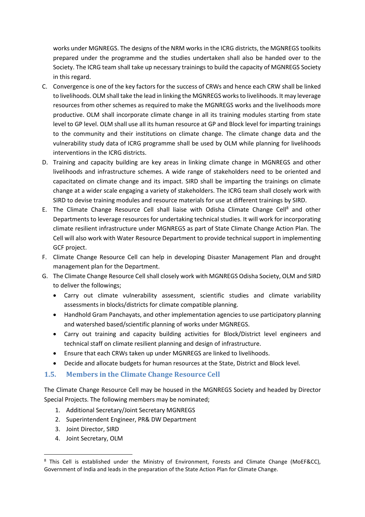works under MGNREGS. The designs of the NRM works in the ICRG districts, the MGNREGS toolkits prepared under the programme and the studies undertaken shall also be handed over to the Society. The ICRG team shall take up necessary trainings to build the capacity of MGNREGS Society in this regard.

- C. Convergence is one of the key factors for the success of CRWs and hence each CRW shall be linked to livelihoods. OLM shall take the lead in linking the MGNREGS works to livelihoods. It may leverage resources from other schemes as required to make the MGNREGS works and the livelihoods more productive. OLM shall incorporate climate change in all its training modules starting from state level to GP level. OLM shall use all its human resource at GP and Block level for imparting trainings to the community and their institutions on climate change. The climate change data and the vulnerability study data of ICRG programme shall be used by OLM while planning for livelihoods interventions in the ICRG districts.
- D. Training and capacity building are key areas in linking climate change in MGNREGS and other livelihoods and infrastructure schemes. A wide range of stakeholders need to be oriented and capacitated on climate change and its impact. SIRD shall be imparting the trainings on climate change at a wider scale engaging a variety of stakeholders. The ICRG team shall closely work with SIRD to devise training modules and resource materials for use at different trainings by SIRD.
- E. The Climate Change Resource Cell shall liaise with Odisha Climate Change Cell<sup>8</sup> and other Departments to leverage resources for undertaking technical studies. It will work for incorporating climate resilient infrastructure under MGNREGS as part of State Climate Change Action Plan. The Cell will also work with Water Resource Department to provide technical support in implementing GCF project.
- F. Climate Change Resource Cell can help in developing Disaster Management Plan and drought management plan for the Department.
- G. The Climate Change Resource Cell shall closely work with MGNREGS Odisha Society, OLM and SIRD to deliver the followings;
	- Carry out climate vulnerability assessment, scientific studies and climate variability assessments in blocks/districts for climate compatible planning.
	- Handhold Gram Panchayats, and other implementation agencies to use participatory planning and watershed based/scientific planning of works under MGNREGS.
	- Carry out training and capacity building activities for Block/District level engineers and technical staff on climate resilient planning and design of infrastructure.
	- Ensure that each CRWs taken up under MGNREGS are linked to livelihoods.
	- Decide and allocate budgets for human resources at the State, District and Block level.
- **1.5. Members in the Climate Change Resource Cell**

The Climate Change Resource Cell may be housed in the MGNREGS Society and headed by Director Special Projects. The following members may be nominated;

- 1. Additional Secretary/Joint Secretary MGNREGS
- 2. Superintendent Engineer, PR& DW Department
- 3. Joint Director, SIRD

1

4. Joint Secretary, OLM

<sup>&</sup>lt;sup>8</sup> This Cell is established under the Ministry of Environment, Forests and Climate Change (MoEF&CC), Government of India and leads in the preparation of the State Action Plan for Climate Change.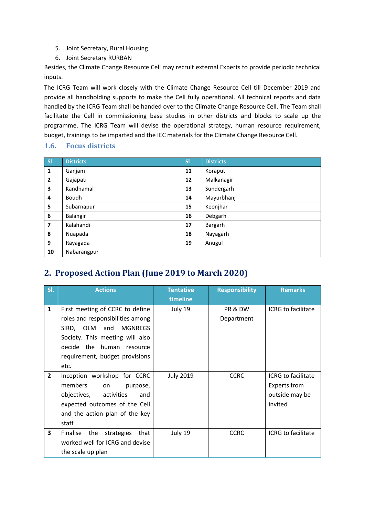- 5. Joint Secretary, Rural Housing
- 6. Joint Secretary RURBAN

Besides, the Climate Change Resource Cell may recruit external Experts to provide periodic technical inputs.

The ICRG Team will work closely with the Climate Change Resource Cell till December 2019 and provide all handholding supports to make the Cell fully operational. All technical reports and data handled by the ICRG Team shall be handed over to the Climate Change Resource Cell. The Team shall facilitate the Cell in commissioning base studies in other districts and blocks to scale up the programme. The ICRG Team will devise the operational strategy, human resource requirement, budget, trainings to be imparted and the IEC materials for the Climate Change Resource Cell.

## **1.6. Focus districts**

| S <sub>1</sub>          | <b>Districts</b> | SI | <b>Districts</b> |
|-------------------------|------------------|----|------------------|
| 1                       | Ganjam           | 11 | Koraput          |
| $\overline{2}$          | Gajapati         | 12 | Malkanagir       |
| 3                       | Kandhamal        | 13 | Sundergarh       |
| 4                       | <b>Boudh</b>     | 14 | Mayurbhanj       |
| 5                       | Subarnapur       | 15 | Keonjhar         |
| 6                       | Balangir         | 16 | Debgarh          |
| $\overline{\mathbf{z}}$ | Kalahandi        | 17 | Bargarh          |
| 8                       | Nuapada          | 18 | Nayagarh         |
| 9                       | Rayagada         | 19 | Anugul           |
| 10                      | Nabarangpur      |    |                  |

# **2. Proposed Action Plan (June 2019 to March 2020)**

| SI.            | <b>Actions</b>                                                                                                                                                                                                      | <b>Tentative</b><br>timeline | <b>Responsibility</b> | <b>Remarks</b>                                                                |
|----------------|---------------------------------------------------------------------------------------------------------------------------------------------------------------------------------------------------------------------|------------------------------|-----------------------|-------------------------------------------------------------------------------|
| $\mathbf{1}$   | First meeting of CCRC to define<br>roles and responsibilities among<br><b>MGNREGS</b><br>SIRD, OLM and<br>Society. This meeting will also<br>decide the human<br>resource<br>requirement, budget provisions<br>etc. | July 19                      | PR & DW<br>Department | <b>ICRG</b> to facilitate                                                     |
| $\overline{2}$ | Inception workshop for CCRC<br>members<br>on<br>purpose,<br>objectives,<br>activities<br>and<br>expected outcomes of the Cell<br>and the action plan of the key<br>staff                                            | <b>July 2019</b>             | <b>CCRC</b>           | <b>ICRG</b> to facilitate<br><b>Experts from</b><br>outside may be<br>invited |
| 3              | Finalise<br>the<br>strategies<br>that<br>worked well for ICRG and devise<br>the scale up plan                                                                                                                       | July 19                      | <b>CCRC</b>           | ICRG to facilitate                                                            |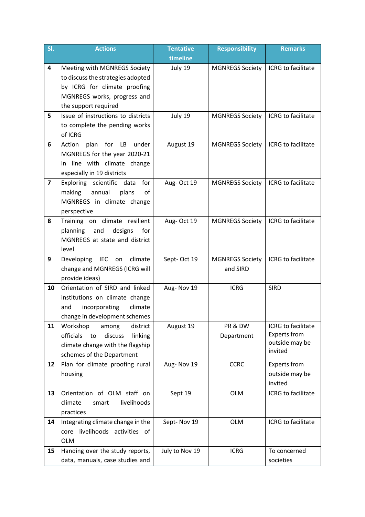| SI.                     | <b>Actions</b>                                                            | <b>Tentative</b> | <b>Responsibility</b>  | <b>Remarks</b>                            |
|-------------------------|---------------------------------------------------------------------------|------------------|------------------------|-------------------------------------------|
|                         |                                                                           | timeline         |                        |                                           |
| 4                       | Meeting with MGNREGS Society                                              | July 19          | <b>MGNREGS Society</b> | ICRG to facilitate                        |
|                         | to discuss the strategies adopted                                         |                  |                        |                                           |
|                         | by ICRG for climate proofing                                              |                  |                        |                                           |
|                         | MGNREGS works, progress and                                               |                  |                        |                                           |
|                         | the support required                                                      |                  |                        |                                           |
| 5                       | Issue of instructions to districts                                        | July 19          | <b>MGNREGS Society</b> | ICRG to facilitate                        |
|                         | to complete the pending works<br>of ICRG                                  |                  |                        |                                           |
| 6                       | for<br>plan<br>LB<br>under                                                | August 19        |                        | ICRG to facilitate                        |
|                         | Action<br>MGNREGS for the year 2020-21                                    |                  | <b>MGNREGS Society</b> |                                           |
|                         | in line with climate change                                               |                  |                        |                                           |
|                         | especially in 19 districts                                                |                  |                        |                                           |
| $\overline{\mathbf{z}}$ | Exploring scientific<br>data<br>for                                       | Aug-Oct 19       | <b>MGNREGS Society</b> | ICRG to facilitate                        |
|                         | making<br>annual<br>plans<br>οf                                           |                  |                        |                                           |
|                         | MGNREGS in climate change                                                 |                  |                        |                                           |
|                         | perspective                                                               |                  |                        |                                           |
| 8                       | Training on climate resilient                                             | Aug-Oct 19       | <b>MGNREGS Society</b> | ICRG to facilitate                        |
|                         | for<br>planning<br>and<br>designs                                         |                  |                        |                                           |
|                         | MGNREGS at state and district                                             |                  |                        |                                           |
|                         | level                                                                     |                  |                        |                                           |
| 9                       | IEC on<br>climate<br>Developing                                           | Sept-Oct 19      | <b>MGNREGS Society</b> | ICRG to facilitate                        |
|                         | change and MGNREGS (ICRG will                                             |                  | and SIRD               |                                           |
|                         | provide ideas)                                                            |                  |                        |                                           |
| 10                      | Orientation of SIRD and linked                                            | Aug-Nov 19       | <b>ICRG</b>            | <b>SIRD</b>                               |
|                         | institutions on climate change                                            |                  |                        |                                           |
|                         | incorporating<br>climate<br>and                                           |                  |                        |                                           |
|                         | change in development schemes                                             |                  |                        |                                           |
| 11                      | Workshop<br>district<br>among                                             | August 19        | PR & DW                | ICRG to facilitate<br><b>Experts from</b> |
|                         | officials<br>discuss<br>linking<br>to<br>climate change with the flagship |                  | Department             | outside may be                            |
|                         | schemes of the Department                                                 |                  |                        | invited                                   |
| 12                      | Plan for climate proofing rural                                           | Aug-Nov 19       | <b>CCRC</b>            | Experts from                              |
|                         | housing                                                                   |                  |                        | outside may be                            |
|                         |                                                                           |                  |                        | invited                                   |
| 13                      | Orientation of OLM staff on                                               | Sept 19          | <b>OLM</b>             | ICRG to facilitate                        |
|                         | livelihoods<br>climate<br>smart                                           |                  |                        |                                           |
|                         | practices                                                                 |                  |                        |                                           |
| 14                      | Integrating climate change in the                                         | Sept-Nov 19      | <b>OLM</b>             | ICRG to facilitate                        |
|                         | livelihoods<br>activities of<br>core                                      |                  |                        |                                           |
|                         | <b>OLM</b>                                                                |                  |                        |                                           |
| 15                      | Handing over the study reports,                                           | July to Nov 19   | <b>ICRG</b>            | To concerned                              |
|                         | data, manuals, case studies and                                           |                  |                        | societies                                 |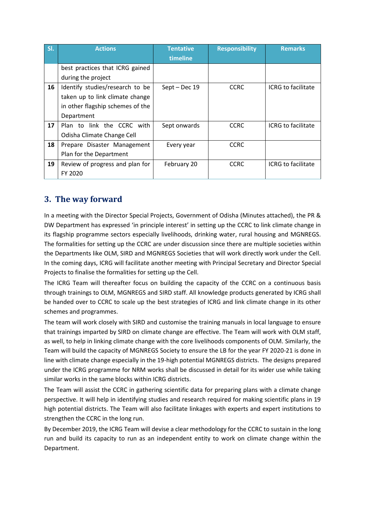| SI. | <b>Actions</b>                   | <b>Tentative</b> | <b>Responsibility</b> | <b>Remarks</b>            |
|-----|----------------------------------|------------------|-----------------------|---------------------------|
|     |                                  | timeline         |                       |                           |
|     | best practices that ICRG gained  |                  |                       |                           |
|     | during the project               |                  |                       |                           |
| 16  | Identify studies/research to be  | Sept - Dec 19    | <b>CCRC</b>           | <b>ICRG</b> to facilitate |
|     | taken up to link climate change  |                  |                       |                           |
|     | in other flagship schemes of the |                  |                       |                           |
|     | Department                       |                  |                       |                           |
| 17  | Plan to link the CCRC with       | Sept onwards     | <b>CCRC</b>           | <b>ICRG</b> to facilitate |
|     | Odisha Climate Change Cell       |                  |                       |                           |
| 18  | Prepare Disaster Management      | Every year       | <b>CCRC</b>           |                           |
|     | Plan for the Department          |                  |                       |                           |
| 19  | Review of progress and plan for  | February 20      | <b>CCRC</b>           | <b>ICRG</b> to facilitate |
|     | FY 2020                          |                  |                       |                           |

# **3. The way forward**

In a meeting with the Director Special Projects, Government of Odisha (Minutes attached), the PR & DW Department has expressed 'in principle interest' in setting up the CCRC to link climate change in its flagship programme sectors especially livelihoods, drinking water, rural housing and MGNREGS. The formalities for setting up the CCRC are under discussion since there are multiple societies within the Departments like OLM, SIRD and MGNREGS Societies that will work directly work under the Cell. In the coming days, ICRG will facilitate another meeting with Principal Secretary and Director Special Projects to finalise the formalities for setting up the Cell.

The ICRG Team will thereafter focus on building the capacity of the CCRC on a continuous basis through trainings to OLM, MGNREGS and SIRD staff. All knowledge products generated by ICRG shall be handed over to CCRC to scale up the best strategies of ICRG and link climate change in its other schemes and programmes.

The team will work closely with SIRD and customise the training manuals in local language to ensure that trainings imparted by SIRD on climate change are effective. The Team will work with OLM staff, as well, to help in linking climate change with the core livelihoods components of OLM. Similarly, the Team will build the capacity of MGNREGS Society to ensure the LB for the year FY 2020-21 is done in line with climate change especially in the 19-high potential MGNREGS districts. The designs prepared under the ICRG programme for NRM works shall be discussed in detail for its wider use while taking similar works in the same blocks within ICRG districts.

The Team will assist the CCRC in gathering scientific data for preparing plans with a climate change perspective. It will help in identifying studies and research required for making scientific plans in 19 high potential districts. The Team will also facilitate linkages with experts and expert institutions to strengthen the CCRC in the long run.

By December 2019, the ICRG Team will devise a clear methodology for the CCRC to sustain in the long run and build its capacity to run as an independent entity to work on climate change within the Department.